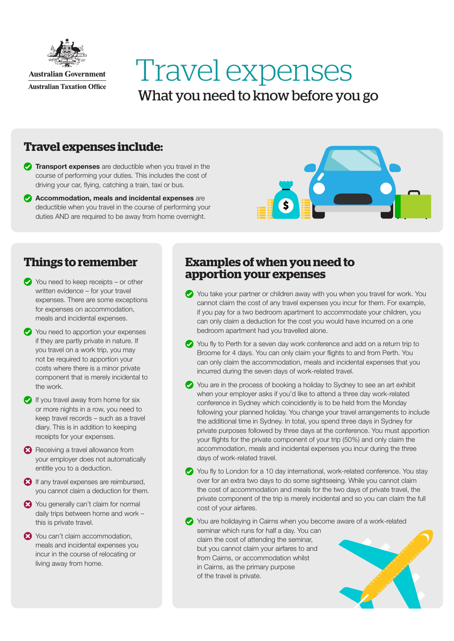

# Travel expenses What you need to know before you go

## **Travel expenses include:**

- **Transport expenses** are deductible when you travel in the course of performing your duties. This includes the cost of driving your car, flying, catching a train, taxi or bus.
- Accommodation, meals and incidental expenses are deductible when you travel in the course of performing your duties AND are required to be away from home overnight.



### **Things to remember**

- You need to keep receipts or other written evidence – for your travel expenses. There are some exceptions for expenses on accommodation, meals and incidental expenses.
- You need to apportion your expenses if they are partly private in nature. If you travel on a work trip, you may not be required to apportion your costs where there is a minor private component that is merely incidental to the work.
- $\bullet$  If you travel away from home for six or more nights in a row, you need to keep travel records – such as a travel diary. This is in addition to keeping receipts for your expenses.
- Receiving a travel allowance from your employer does not automatically entitle you to a deduction.
- If any travel expenses are reimbursed, you cannot claim a deduction for them.
- X You generally can't claim for normal daily trips between home and work – this is private travel.
- **23** You can't claim accommodation. meals and incidental expenses you incur in the course of relocating or living away from home.

#### **Examples of when you need to apportion your expenses**

- You take your partner or children away with you when you travel for work. You cannot claim the cost of any travel expenses you incur for them. For example, if you pay for a two bedroom apartment to accommodate your children, you can only claim a deduction for the cost you would have incurred on a one bedroom apartment had you travelled alone.
- You fly to Perth for a seven day work conference and add on a return trip to Broome for 4 days. You can only claim your flights to and from Perth. You can only claim the accommodation, meals and incidental expenses that you incurred during the seven days of work-related travel.
- You are in the process of booking a holiday to Sydney to see an art exhibit when your employer asks if you'd like to attend a three day work-related conference in Sydney which coincidently is to be held from the Monday following your planned holiday. You change your travel arrangements to include the additional time in Sydney. In total, you spend three days in Sydney for private purposes followed by three days at the conference. You must apportion your flights for the private component of your trip (50%) and only claim the accommodation, meals and incidental expenses you incur during the three days of work-related travel.
- You fly to London for a 10 day international, work-related conference. You stay over for an extra two days to do some sightseeing. While you cannot claim the cost of accommodation and meals for the two days of private travel, the private component of the trip is merely incidental and so you can claim the full cost of your airfares.
- You are holidaying in Cairns when you become aware of a work-related seminar which runs for half a day. You can claim the cost of attending the seminar, but you cannot claim your airfares to and from Cairns, or accommodation whilst in Cairns, as the primary purpose of the travel is private.